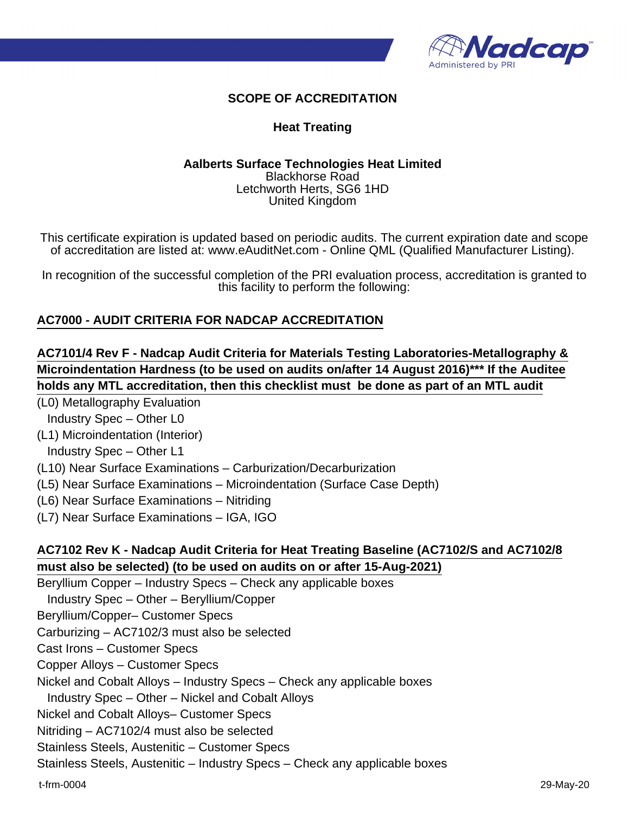

# **SCOPE OF ACCREDITATION**

### **Heat Treating**

#### **Aalberts Surface Technologies Heat Limited** Blackhorse Road Letchworth Herts, SG6 1HD United Kingdom

This certificate expiration is updated based on periodic audits. The current expiration date and scope of accreditation are listed at: www.eAuditNet.com - Online QML (Qualified Manufacturer Listing).

In recognition of the successful completion of the PRI evaluation process, accreditation is granted to this facility to perform the following:

#### **AC7000 - AUDIT CRITERIA FOR NADCAP ACCREDITATION**

**AC7101/4 Rev F - Nadcap Audit Criteria for Materials Testing Laboratories-Metallography & Microindentation Hardness (to be used on audits on/after 14 August 2016)\*\*\* If the Auditee holds any MTL accreditation, then this checklist must be done as part of an MTL audit**

(L0) Metallography Evaluation

Industry Spec – Other L0

(L1) Microindentation (Interior)

Industry Spec – Other L1

(L10) Near Surface Examinations – Carburization/Decarburization

(L5) Near Surface Examinations – Microindentation (Surface Case Depth)

- (L6) Near Surface Examinations Nitriding
- (L7) Near Surface Examinations IGA, IGO

# **AC7102 Rev K - Nadcap Audit Criteria for Heat Treating Baseline (AC7102/S and AC7102/8 must also be selected) (to be used on audits on or after 15-Aug-2021)**

Beryllium Copper – Industry Specs – Check any applicable boxes

Industry Spec – Other – Beryllium/Copper

Beryllium/Copper– Customer Specs

Carburizing – AC7102/3 must also be selected

Cast Irons – Customer Specs

Copper Alloys – Customer Specs

Nickel and Cobalt Alloys – Industry Specs – Check any applicable boxes

Industry Spec – Other – Nickel and Cobalt Alloys

Nickel and Cobalt Alloys– Customer Specs

Nitriding – AC7102/4 must also be selected

Stainless Steels, Austenitic – Customer Specs

Stainless Steels, Austenitic – Industry Specs – Check any applicable boxes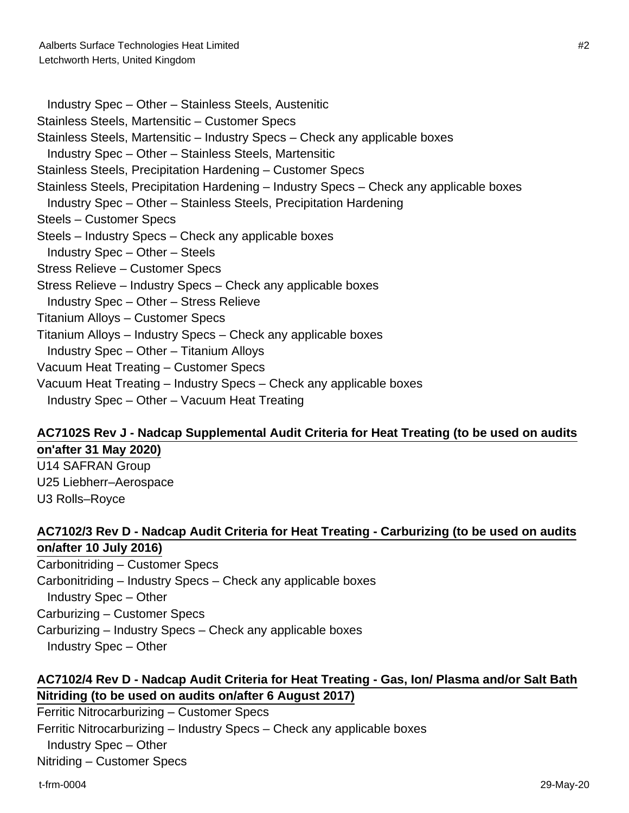Industry Spec – Other – Stainless Steels, Austenitic Stainless Steels, Martensitic – Customer Specs Stainless Steels, Martensitic – Industry Specs – Check any applicable boxes Industry Spec – Other – Stainless Steels, Martensitic Stainless Steels, Precipitation Hardening – Customer Specs Stainless Steels, Precipitation Hardening – Industry Specs – Check any applicable boxes Industry Spec – Other – Stainless Steels, Precipitation Hardening Steels – Customer Specs Steels – Industry Specs – Check any applicable boxes Industry Spec – Other – Steels Stress Relieve – Customer Specs Stress Relieve – Industry Specs – Check any applicable boxes Industry Spec – Other – Stress Relieve Titanium Alloys – Customer Specs Titanium Alloys – Industry Specs – Check any applicable boxes Industry Spec – Other – Titanium Alloys Vacuum Heat Treating – Customer Specs Vacuum Heat Treating – Industry Specs – Check any applicable boxes Industry Spec – Other – Vacuum Heat Treating

### **AC7102S Rev J - Nadcap Supplemental Audit Criteria for Heat Treating (to be used on audits on'after 31 May 2020)**

U14 SAFRAN Group U25 Liebherr–Aerospace U3 Rolls–Royce

# **AC7102/3 Rev D - Nadcap Audit Criteria for Heat Treating - Carburizing (to be used on audits on/after 10 July 2016)**

Carbonitriding – Customer Specs Carbonitriding – Industry Specs – Check any applicable boxes Industry Spec – Other Carburizing – Customer Specs Carburizing – Industry Specs – Check any applicable boxes Industry Spec – Other

# **AC7102/4 Rev D - Nadcap Audit Criteria for Heat Treating - Gas, Ion/ Plasma and/or Salt Bath Nitriding (to be used on audits on/after 6 August 2017)**

Ferritic Nitrocarburizing – Customer Specs Ferritic Nitrocarburizing – Industry Specs – Check any applicable boxes Industry Spec – Other Nitriding – Customer Specs